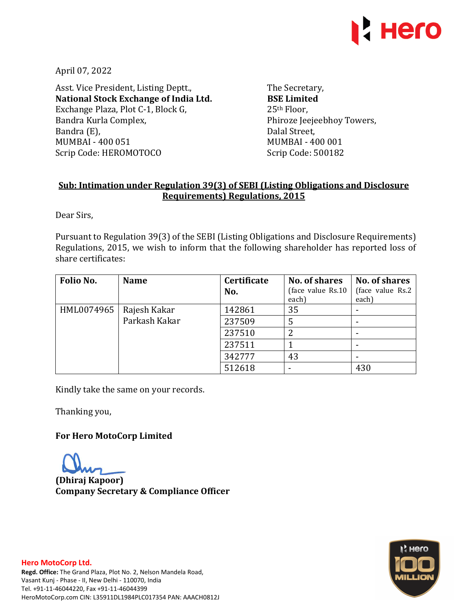

April 07, 2022

Asst. Vice President, Listing Deptt., **National Stock Exchange of India Ltd.**  Exchange Plaza, Plot C-1, Block G, Bandra Kurla Complex, Bandra (E), MUMBAI - 400 051 Scrip Code: HEROMOTOCO

The Secretary, **BSE Limited**  25th Floor, Phiroze Jeejeebhoy Towers, Dalal Street, MUMBAI - 400 001 Scrip Code: 500182

## **Sub: Intimation under Regulation 39(3) of SEBI (Listing Obligations and Disclosure Requirements) Regulations, 2015**

Dear Sirs,

Pursuant to Regulation 39(3) of the SEBI (Listing Obligations and Disclosure Requirements) Regulations, 2015, we wish to inform that the following shareholder has reported loss of share certificates:

| Folio No.  | <b>Name</b>   | Certificate<br>No. | <b>No. of shares</b><br>(face value Rs.10)<br>each) | <b>No. of shares</b><br>(face value Rs.2)<br>each) |
|------------|---------------|--------------------|-----------------------------------------------------|----------------------------------------------------|
| HML0074965 | Rajesh Kakar  | 142861             | 35                                                  |                                                    |
|            | Parkash Kakar | 237509             | 5                                                   |                                                    |
|            |               | 237510             |                                                     |                                                    |
|            |               | 237511             |                                                     |                                                    |
|            |               | 342777             | 43                                                  |                                                    |
|            |               | 512618             |                                                     | 430                                                |

Kindly take the same on your records.

Thanking you,

**For Hero MotoCorp Limited** 

**(Dhiraj Kapoor) Company Secretary & Compliance Officer**